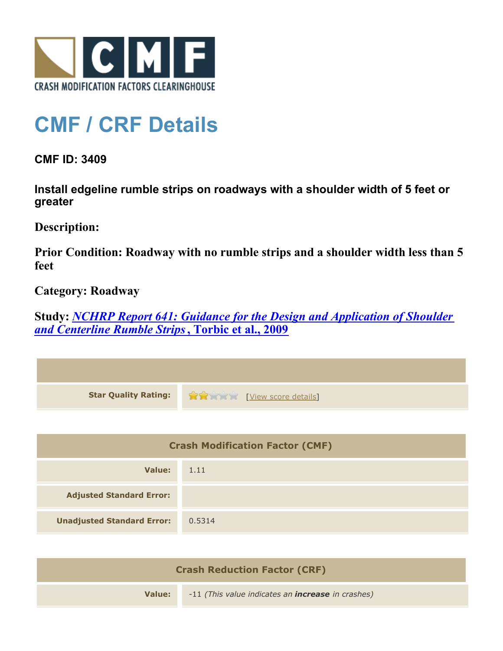

## **CMF / CRF Details**

**CMF ID: 3409**

**Install edgeline rumble strips on roadways with a shoulder width of 5 feet or greater**

**Description:** 

**Prior Condition: Roadway with no rumble strips and a shoulder width less than 5 feet**

**Category: Roadway**

**Study:** *[NCHRP Report 641: Guidance for the Design and Application of Shoulder](http://www.cmfclearinghouse.org/study_detail.cfm?stid=206) [and Centerline Rumble Strips](http://www.cmfclearinghouse.org/study_detail.cfm?stid=206)***[, Torbic et al., 2009](http://www.cmfclearinghouse.org/study_detail.cfm?stid=206)**

| <b>Star Quality Rating:</b>            | View score details |
|----------------------------------------|--------------------|
|                                        |                    |
| <b>Crash Modification Factor (CMF)</b> |                    |
| Value:                                 | 1.11               |
| <b>Adjusted Standard Error:</b>        |                    |
| <b>Unadjusted Standard Error:</b>      | 0.5314             |
|                                        |                    |

| <b>Crash Reduction Factor (CRF)</b> |                                                          |
|-------------------------------------|----------------------------------------------------------|
| Value:                              | -11 (This value indicates an <b>increase</b> in crashes) |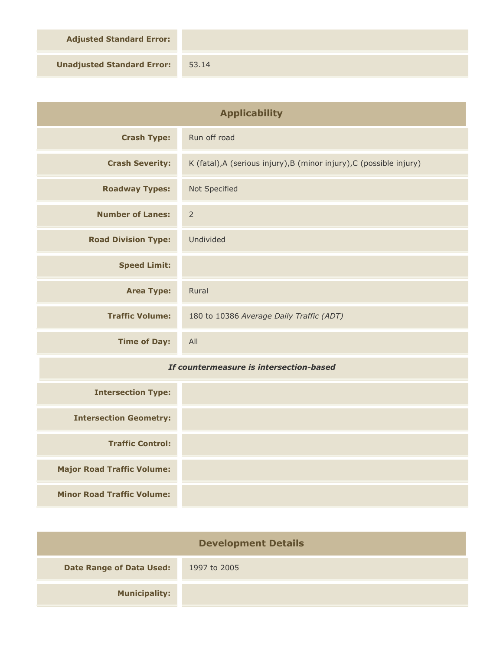**Adjusted Standard Error:**

**Unadjusted Standard Error:** 53.14

| <b>Applicability</b>                    |                                                                      |
|-----------------------------------------|----------------------------------------------------------------------|
| <b>Crash Type:</b>                      | Run off road                                                         |
| <b>Crash Severity:</b>                  | K (fatal), A (serious injury), B (minor injury), C (possible injury) |
| <b>Roadway Types:</b>                   | Not Specified                                                        |
| <b>Number of Lanes:</b>                 | $\overline{2}$                                                       |
| <b>Road Division Type:</b>              | Undivided                                                            |
| <b>Speed Limit:</b>                     |                                                                      |
| <b>Area Type:</b>                       | Rural                                                                |
| <b>Traffic Volume:</b>                  | 180 to 10386 Average Daily Traffic (ADT)                             |
| <b>Time of Day:</b>                     | All                                                                  |
| If countermeasure is intersection-based |                                                                      |
| <b>Intersection Type:</b>               |                                                                      |
| <b>Intersection Geometry:</b>           |                                                                      |
| <b>Traffic Control:</b>                 |                                                                      |
| <b>Major Road Traffic Volume:</b>       |                                                                      |
| <b>Minor Road Traffic Volume:</b>       |                                                                      |

| <b>Development Details</b>      |              |  |
|---------------------------------|--------------|--|
| <b>Date Range of Data Used:</b> | 1997 to 2005 |  |
| <b>Municipality:</b>            |              |  |